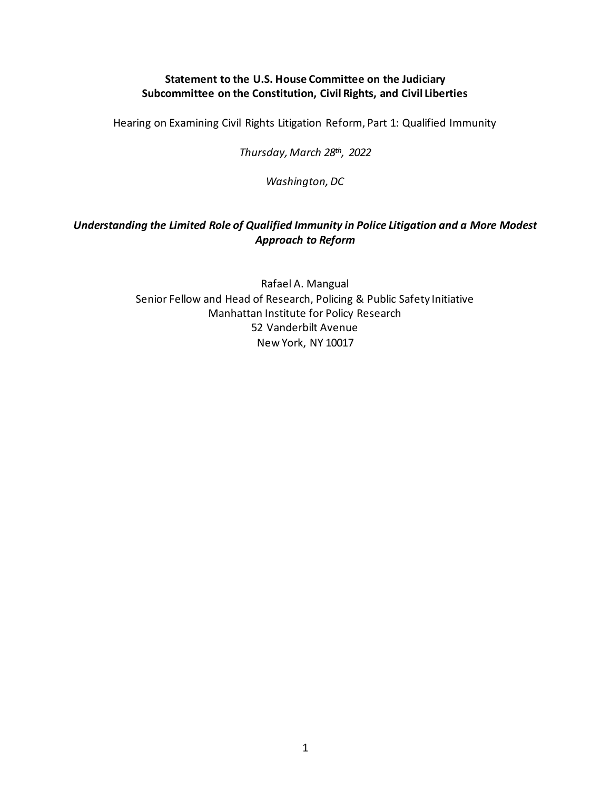## **Statement to the U.S. House Committee on the Judiciary Subcommittee on the Constitution, Civil Rights, and Civil Liberties**

Hearing on Examining Civil Rights Litigation Reform, Part 1: Qualified Immunity

*Thursday, March 28th, 2022*

*Washington, DC*

## *Understanding the Limited Role of Qualified Immunity in Police Litigation and a More Modest Approach to Reform*

Rafael A. Mangual Senior Fellow and Head of Research, Policing & Public Safety Initiative Manhattan Institute for Policy Research 52 Vanderbilt Avenue New York, NY 10017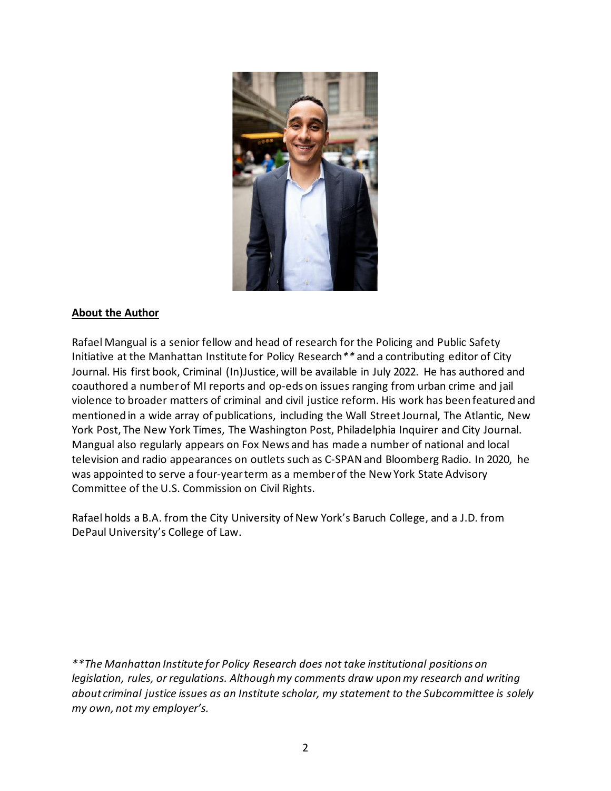

## **About the Author**

Rafael Mangual is a senior fellow and head of research for the Policing and Public Safety Initiative at the Manhattan Institute for Policy Research*\*\** and a contributing editor of City Journal. His first book, Criminal (In)Justice, will be available in July 2022. He has authored and coauthored a number of MI reports and op-eds on issues ranging from urban crime and jail violence to broader matters of criminal and civil justice reform. His work has been featured and mentioned in a wide array of publications, including the Wall Street Journal, The Atlantic, New York Post, The New York Times, The Washington Post, Philadelphia Inquirer and City Journal. Mangual also regularly appears on Fox News and has made a number of national and local television and radio appearances on outlets such as C-SPAN and Bloomberg Radio. In 2020, he was appointed to serve a four-year term as a member of the New York State Advisory Committee of the U.S. Commission on Civil Rights.

Rafael holds a B.A. from the City University of New York's Baruch College, and a J.D. from DePaul University's College of Law.

*\*\*The Manhattan Institute for Policy Research does not take institutional positions on legislation, rules, or regulations. Although my comments draw upon my research and writing about criminal justice issues as an Institute scholar, my statement to the Subcommittee is solely my own, not my employer's.*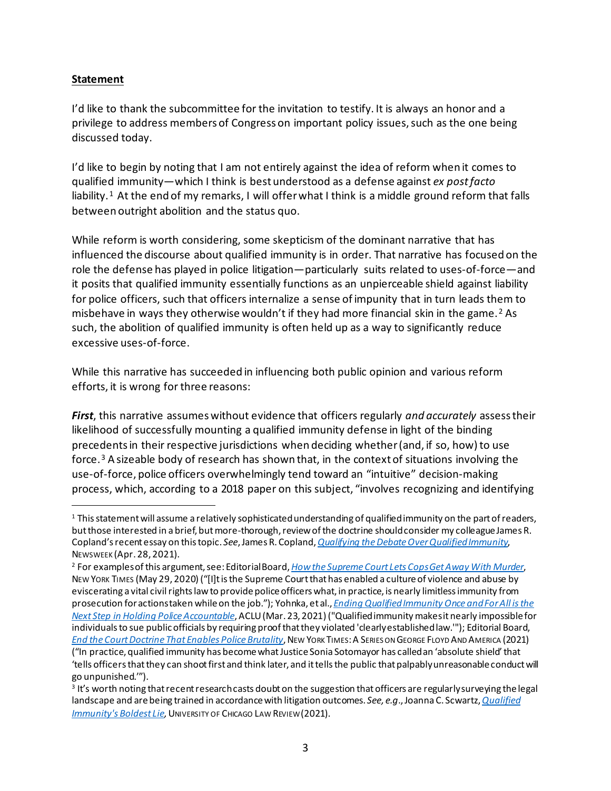## **Statement**

I'd like to thank the subcommittee for the invitation to testify. It is always an honor and a privilege to address members of Congress on important policy issues, such as the one being discussed today.

I'd like to begin by noting that I am not entirely against the idea of reform when it comes to qualified immunity—which I think is best understood as a defense against *ex post facto*  liability.<sup>[1](#page-2-0)</sup> At the end of my remarks, I will offer what I think is a middle ground reform that falls between outright abolition and the status quo.

While reform is worth considering, some skepticism of the dominant narrative that has influenced the discourse about qualified immunity is in order. That narrative has focused on the role the defense has played in police litigation—particularly suits related to uses-of-force—and it posits that qualified immunity essentially functions as an unpierceable shield against liability for police officers, such that officers internalize a sense of impunity that in turn leads them to misbehave in ways they otherwise wouldn't if they had more financial skin in the game. [2](#page-2-1) As such, the abolition of qualified immunity is often held up as a way to significantly reduce excessive uses-of-force.

While this narrative has succeeded in influencing both public opinion and various reform efforts, it is wrong for three reasons:

*First*, this narrative assumes without evidence that officers regularly *and accurately* assess their likelihood of successfully mounting a qualified immunity defense in light of the binding precedents in their respective jurisdictions when deciding whether (and, if so, how) to use force.[3](#page-2-2) A sizeable body of research has shown that, in the context of situations involving the use-of-force, police officers overwhelmingly tend toward an "intuitive" decision-making process, which, according to a 2018 paper on this subject, "involves recognizing and identifying

<span id="page-2-0"></span> $1$  This statement will assume a relatively sophisticated understanding of qualified immunity on the part of readers, but those interested in a brief, but more-thorough, review of the doctrine should consider my colleague James R. Copland's recent essay on this topic. *See*, James R. Copland, *[Qualifying the Debate Over Qualified Immunity](https://www.newsweek.com/qualifying-debate-over-qualified-immunity-opinion-1586623)*, NEWSWEEK (Apr. 28, 2021).

<span id="page-2-1"></span><sup>2</sup> For examples of this argument, see: Editorial Board, *[How the Supreme Court Lets Cops Get Away With Murder](https://www.nytimes.com/2020/05/29/opinion/Minneapolis-police-George-Floyd.html)*, NEW YORK TIMES (May 29, 2020) ("[I]t is the Supreme Court that has enabled a culture of violence and abuse by eviscerating a vital civil rights law to provide police officers what, in practice, is nearly limitless immunity from prosecution for actions taken while on the job."); Yohnka, et al., *[Ending Qualified Immunity Once and For All is the](https://www.aclu.org/news/criminal-law-reform/ending-qualified-immunity-once-and-for-all-is-the-next-step-in-holding-police-accountable/)  [Next Step in Holding Police Accountable](https://www.aclu.org/news/criminal-law-reform/ending-qualified-immunity-once-and-for-all-is-the-next-step-in-holding-police-accountable/)*, ACLU (Mar. 23, 2021) ("Qualified immunity makes it nearly impossible for individuals to sue public officials by requiring proof that they violated 'clearly established law.'"); Editorial Board, *[End the Court Doctrine That Enables Police Brutality](https://www.nytimes.com/2021/05/22/opinion/qualified-immunity-police-brutality-misconduct.html)*, NEW YORK TIMES:A SERIES ON GEORGE FLOYD AND AMERICA (2021) ("In practice, qualified immunity has become what Justice Sonia Sotomayor has called an 'absolute shield'that 'tells officers that they can shoot first and think later, and it tells the public that palpably unreasonable conduct will

<span id="page-2-2"></span>go unpunished.'").<br><sup>3</sup> It's worth noting that recent research casts doubt on the suggestion that officers are regularly surveying the legal landscape and are being trained in accordance with litigation outcomes. *See, e.g*., Joanna C. Scwartz,*[Qualified](https://lawreview.uchicago.edu/sites/lawreview.uchicago.edu/files/Schwartz_QualifiedImmunity_88UCLR605.pdf)  [Immunity's Boldest Lie,](https://lawreview.uchicago.edu/sites/lawreview.uchicago.edu/files/Schwartz_QualifiedImmunity_88UCLR605.pdf)* UNIVERSITY OF CHICAGO LAW REVIEW(2021).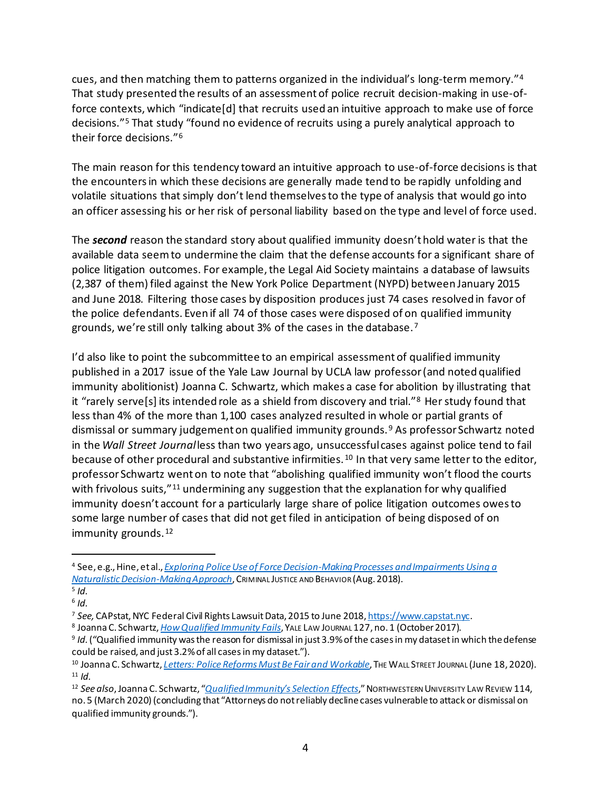cues, and then matching them to patterns organized in the individual's long-term memory."[4](#page-3-0)  That study presented the results of an assessment of police recruit decision-making in use-offorce contexts, which "indicate[d] that recruits used an intuitive approach to make use of force decisions."[5](#page-3-1) That study "found no evidence of recruits using a purely analytical approach to their force decisions."[6](#page-3-2)

The main reason for this tendency toward an intuitive approach to use-of-force decisions is that the encounters in which these decisions are generally made tend to be rapidly unfolding and volatile situations that simply don't lend themselves to the type of analysis that would go into an officer assessing his or her risk of personal liability based on the type and level of force used.

The *second* reason the standard story about qualified immunity doesn't hold water is that the available data seem to undermine the claim that the defense accounts for a significant share of police litigation outcomes. For example, the Legal Aid Society maintains a database of lawsuits (2,387 of them) filed against the New York Police Department (NYPD) between January 2015 and June 2018. Filtering those cases by disposition produces just 74 cases resolved in favor of the police defendants. Even if all 74 of those cases were disposed of on qualified immunity grounds, we're still only talking about 3% of the cases in the database.[7](#page-3-3)

I'd also like to point the subcommittee to an empirical assessment of qualified immunity published in a 2017 issue of the Yale Law Journal by UCLA law professor (and noted qualified immunity abolitionist) Joanna C. Schwartz, which makes a case for abolition by illustrating that it "rarely serve[s] its intended role as a shield from discovery and trial."[8](#page-3-4) Her study found that less than 4% of the more than 1,100 cases analyzed resulted in whole or partial grants of dismissal or summary judgement on qualified immunity grounds. [9](#page-3-5) As professor Schwartz noted in the *Wall Street Journal*less than two years ago, unsuccessful cases against police tend to fail because of other procedural and substantive infirmities.<sup>[10](#page-3-6)</sup> In that very same letter to the editor, professor Schwartz went on to note that "abolishing qualified immunity won't flood the courts with frivolous suits,"<sup>[11](#page-3-7)</sup> undermining any suggestion that the explanation for why qualified immunity doesn't account for a particularly large share of police litigation outcomes owes to some large number of cases that did not get filed in anticipation of being disposed of on immunity grounds.<sup>[12](#page-3-8)</sup>

<span id="page-3-0"></span><sup>4</sup> See, e.g., Hine, et al., *[Exploring Police Use of Force Decision-Making Processes and Impairments Using a](https://www.researchgate.net/publication/327017040_Exploring_Police_Use_of_Force_Decision-Making_Processes_and_Impairments_Using_a_Naturalistic_Decision-Making_Approach)  [Naturalistic Decision-Making Approach](https://www.researchgate.net/publication/327017040_Exploring_Police_Use_of_Force_Decision-Making_Processes_and_Impairments_Using_a_Naturalistic_Decision-Making_Approach)*, CRIMINAL JUSTICE AND BEHAVIOR (Aug. 2018).

<span id="page-3-1"></span><sup>5</sup> *Id.*

<span id="page-3-2"></span><sup>6</sup> *Id.*

<span id="page-3-3"></span><sup>7</sup> *See,* CAPstat, NYC Federal Civil Rights Lawsuit Data, 2015 to June 2018[, https://www.capstat.nyc](https://www.capstat.nyc/).

<span id="page-3-4"></span><sup>8</sup> Joanna C. Schwartz, *[How Qualified Immunity Fails](https://www.yalelawjournal.org/article/how-qualified-immunity-fails)*, YALE LAW JOURNAL 127, no. 1 (October 2017).

<span id="page-3-5"></span><sup>9</sup> *Id.*("Qualified immunity was the reason for dismissal in just 3.9% of the cases in my dataset in which the defense could be raised, and just 3.2% of all cases in my dataset.").<br><sup>10</sup> Joanna C. Schwartz, *[Letters: Police Reforms Must Be Fair and Workable](https://www.wsj.com/articles/police-reforms-must-be-fair-and-workable-11592510803)*, THE WALL STREET JOURNAL (June 18, 2020).

<span id="page-3-7"></span><span id="page-3-6"></span> $11$  *Id.* 

<span id="page-3-8"></span><sup>12</sup> *See also*, Joanna C. Schwartz, "*[Qualified Immunity's Selection Effects](https://scholarlycommons.law.northwestern.edu/nulr/vol114/iss5/1/)*," NORTHWESTERN UNIVERSITY LAW REVIEW 114, no. 5 (March 2020) (concluding that "Attorneys do not reliably decline cases vulnerable to attack or dismissal on qualified immunity grounds.").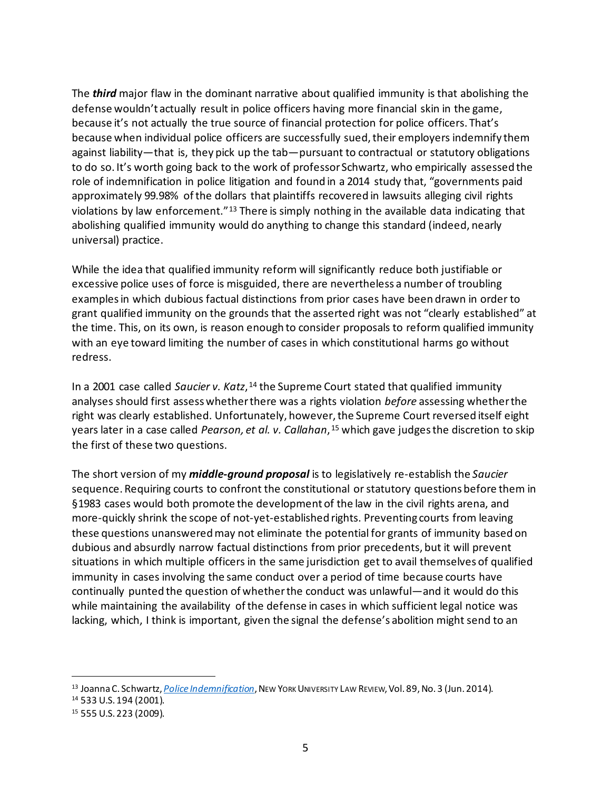The *third* major flaw in the dominant narrative about qualified immunity is that abolishing the defense wouldn't actually result in police officers having more financial skin in the game, because it's not actually the true source of financial protection for police officers. That's because when individual police officers are successfully sued, their employers indemnify them against liability—that is, they pick up the tab—pursuant to contractual or statutory obligations to do so. It's worth going back to the work of professor Schwartz, who empirically assessed the role of indemnification in police litigation and found in a 2014 study that, "governments paid approximately 99.98% of the dollars that plaintiffs recovered in lawsuits alleging civil rights violations by law enforcement."<sup>[13](#page-4-0)</sup> There is simply nothing in the available data indicating that abolishing qualified immunity would do anything to change this standard (indeed, nearly universal) practice.

While the idea that qualified immunity reform will significantly reduce both justifiable or excessive police uses of force is misguided, there are nevertheless a number of troubling examples in which dubious factual distinctions from prior cases have been drawn in order to grant qualified immunity on the grounds that the asserted right was not "clearly established" at the time. This, on its own, is reason enough to consider proposals to reform qualified immunity with an eye toward limiting the number of cases in which constitutional harms go without redress.

In a 2001 case called *Saucier v. Katz*, <sup>[14](#page-4-1)</sup> the Supreme Court stated that qualified immunity analyses should first assess whether there was a rights violation *before* assessing whether the right was clearly established. Unfortunately, however, the Supreme Court reversed itself eight years later in a case called *Pearson, et al. v. Callahan*, [15](#page-4-2) which gave judges the discretion to skip the first of these two questions.

The short version of my *middle-ground proposal* is to legislatively re-establish the *Saucier* sequence. Requiring courts to confront the constitutional or statutory questions before them in §1983 cases would both promote the development of the law in the civil rights arena, and more-quickly shrink the scope of not-yet-established rights. Preventing courts from leaving these questions unanswered may not eliminate the potential for grants of immunity based on dubious and absurdly narrow factual distinctions from prior precedents, but it will prevent situations in which multiple officers in the same jurisdiction get to avail themselves of qualified immunity in cases involving the same conduct over a period of time because courts have continually punted the question of whether the conduct was unlawful—and it would do this while maintaining the availability of the defense in cases in which sufficient legal notice was lacking, which, I think is important, given the signal the defense's abolition might send to an

<span id="page-4-0"></span><sup>13</sup> Joanna C. Schwartz, *[Police Indemnification](https://www.nyulawreview.org/issues/volume-89-number-3/police-indemnification/)*, NEW YORK UNIVERSITY LAW REVIEW, Vol. 89, No. 3 (Jun. 2014).

<span id="page-4-2"></span><span id="page-4-1"></span><sup>14</sup> 533 U.S. 194 (2001). 15 555 U.S. 223 (2009).